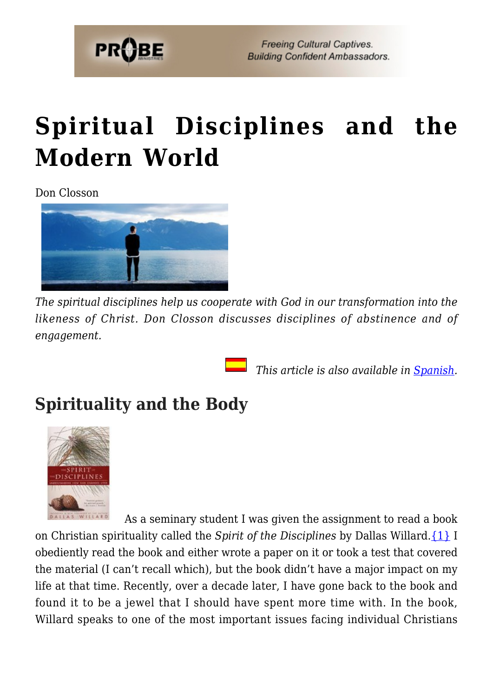

## **[Spiritual Disciplines and the](https://probe.org/spiritual-disciplines-and-the-modern-world/) [Modern World](https://probe.org/spiritual-disciplines-and-the-modern-world/)**

Don Closson



*The spiritual disciplines help us cooperate with God in our transformation into the likeness of Christ. Don Closson discusses disciplines of abstinence and of engagement.*

 *This article is also available in [Spanish.](https://www.ministeriosprobe.org/docs/disciplinas.html)*

## **Spirituality and the Body**



 As a seminary student I was given the assignment to read a book on Christian spirituality called the *Spirit of the Disciplines* by Dallas Willard.[{1}](#page-21-0) I obediently read the book and either wrote a paper on it or took a test that covered the material (I can't recall which), but the book didn't have a major impact on my life at that time. Recently, over a decade later, I have gone back to the book and found it to be a jewel that I should have spent more time with. In the book, Willard speaks to one of the most important issues facing individual Christians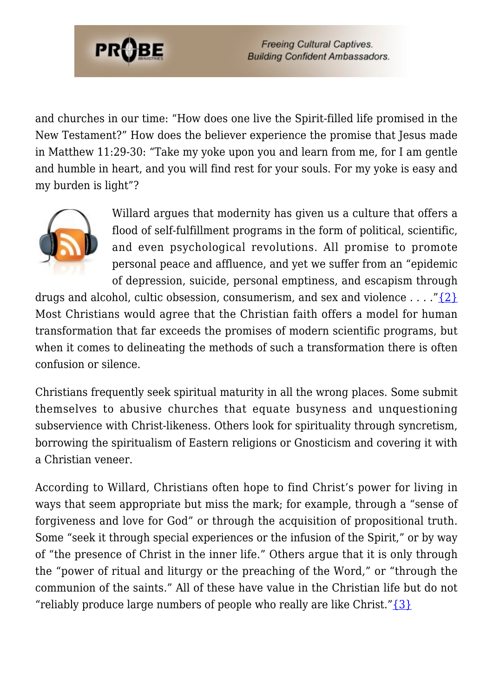

and churches in our time: "How does one live the Spirit-filled life promised in the New Testament?" How does the believer experience the promise that Jesus made in Matthew 11:29-30: "Take my yoke upon you and learn from me, for I am gentle and humble in heart, and you will find rest for your souls. For my yoke is easy and my burden is light"?



Willard argues that modernity has given us a culture that offers a flood of self-fulfillment programs in the form of political, scientific, and even psychological revolutions. All promise to promote personal peace and affluence, and yet we suffer from an "epidemic of depression, suicide, personal emptiness, and escapism through

drugs and alcohol, cultic obsession, consumerism, and sex and violence  $\dots$  ["{2}](#page-22-0) Most Christians would agree that the Christian faith offers a model for human transformation that far exceeds the promises of modern scientific programs, but when it comes to delineating the methods of such a transformation there is often confusion or silence.

Christians frequently seek spiritual maturity in all the wrong places. Some submit themselves to abusive churches that equate busyness and unquestioning subservience with Christ-likeness. Others look for spirituality through syncretism, borrowing the spiritualism of Eastern religions or Gnosticism and covering it with a Christian veneer.

According to Willard, Christians often hope to find Christ's power for living in ways that seem appropriate but miss the mark; for example, through a "sense of forgiveness and love for God" or through the acquisition of propositional truth. Some "seek it through special experiences or the infusion of the Spirit," or by way of "the presence of Christ in the inner life." Others argue that it is only through the "power of ritual and liturgy or the preaching of the Word," or "through the communion of the saints." All of these have value in the Christian life but do not "reliably produce large numbers of people who really are like Christ." $\{3\}$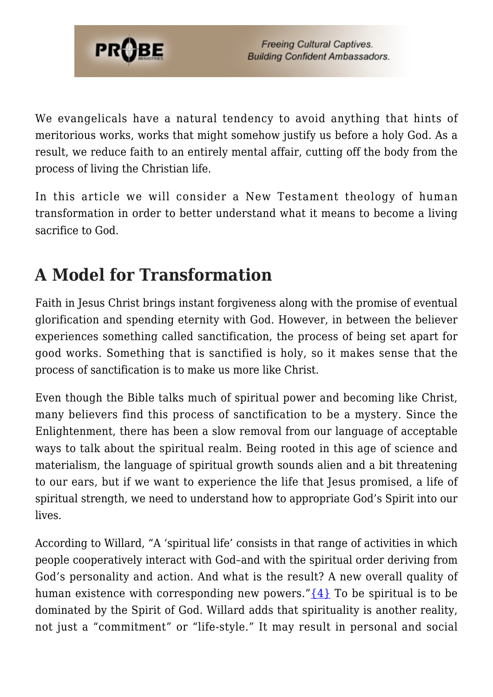

We evangelicals have a natural tendency to avoid anything that hints of meritorious works, works that might somehow justify us before a holy God. As a result, we reduce faith to an entirely mental affair, cutting off the body from the process of living the Christian life.

In this article we will consider a New Testament theology of human transformation in order to better understand what it means to become a living sacrifice to God.

## **A Model for Transformation**

Faith in Jesus Christ brings instant forgiveness along with the promise of eventual glorification and spending eternity with God. However, in between the believer experiences something called sanctification, the process of being set apart for good works. Something that is sanctified is holy, so it makes sense that the process of sanctification is to make us more like Christ.

Even though the Bible talks much of spiritual power and becoming like Christ, many believers find this process of sanctification to be a mystery. Since the Enlightenment, there has been a slow removal from our language of acceptable ways to talk about the spiritual realm. Being rooted in this age of science and materialism, the language of spiritual growth sounds alien and a bit threatening to our ears, but if we want to experience the life that Jesus promised, a life of spiritual strength, we need to understand how to appropriate God's Spirit into our lives.

According to Willard, "A 'spiritual life' consists in that range of activities in which people cooperatively interact with God–and with the spiritual order deriving from God's personality and action. And what is the result? A new overall quality of human existence with corresponding new powers." $\{4\}$  To be spiritual is to be dominated by the Spirit of God. Willard adds that spirituality is another reality, not just a "commitment" or "life-style." It may result in personal and social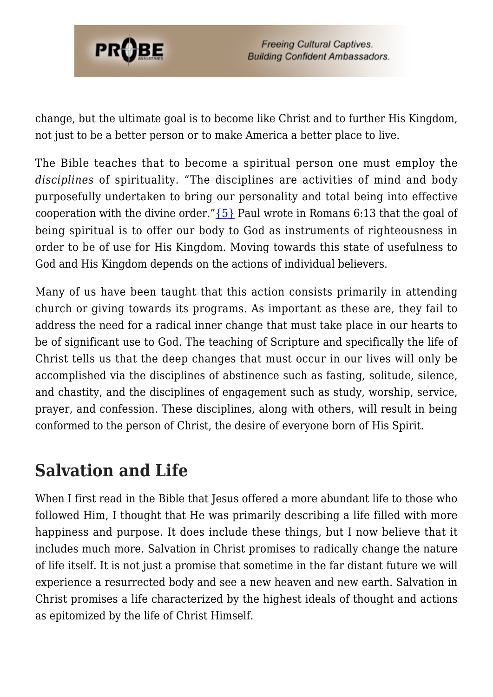

change, but the ultimate goal is to become like Christ and to further His Kingdom, not just to be a better person or to make America a better place to live.

The Bible teaches that to become a spiritual person one must employ the *disciplines* of spirituality. "The disciplines are activities of mind and body purposefully undertaken to bring our personality and total being into effective cooperation with the divine order." $\{5\}$  Paul wrote in Romans 6:13 that the goal of being spiritual is to offer our body to God as instruments of righteousness in order to be of use for His Kingdom. Moving towards this state of usefulness to God and His Kingdom depends on the actions of individual believers.

Many of us have been taught that this action consists primarily in attending church or giving towards its programs. As important as these are, they fail to address the need for a radical inner change that must take place in our hearts to be of significant use to God. The teaching of Scripture and specifically the life of Christ tells us that the deep changes that must occur in our lives will only be accomplished via the disciplines of abstinence such as fasting, solitude, silence, and chastity, and the disciplines of engagement such as study, worship, service, prayer, and confession. These disciplines, along with others, will result in being conformed to the person of Christ, the desire of everyone born of His Spirit.

## **Salvation and Life**

When I first read in the Bible that Jesus offered a more abundant life to those who followed Him, I thought that He was primarily describing a life filled with more happiness and purpose. It does include these things, but I now believe that it includes much more. Salvation in Christ promises to radically change the nature of life itself. It is not just a promise that sometime in the far distant future we will experience a resurrected body and see a new heaven and new earth. Salvation in Christ promises a life characterized by the highest ideals of thought and actions as epitomized by the life of Christ Himself.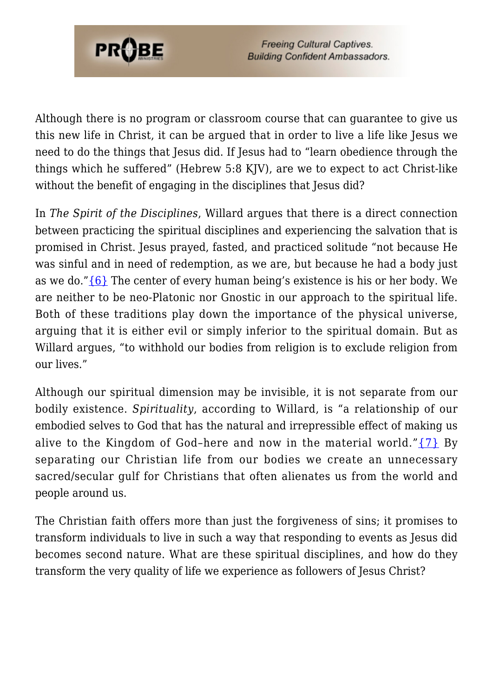

Although there is no program or classroom course that can guarantee to give us this new life in Christ, it can be argued that in order to live a life like Jesus we need to do the things that Jesus did. If Jesus had to "learn obedience through the things which he suffered" (Hebrew 5:8 KJV), are we to expect to act Christ-like without the benefit of engaging in the disciplines that Jesus did?

In *The Spirit of the Disciplines*, Willard argues that there is a direct connection between practicing the spiritual disciplines and experiencing the salvation that is promised in Christ. Jesus prayed, fasted, and practiced solitude "not because He was sinful and in need of redemption, as we are, but because he had a body just as we do." $\{6\}$  The center of every human being's existence is his or her body. We are neither to be neo-Platonic nor Gnostic in our approach to the spiritual life. Both of these traditions play down the importance of the physical universe, arguing that it is either evil or simply inferior to the spiritual domain. But as Willard argues, "to withhold our bodies from religion is to exclude religion from our lives."

Although our spiritual dimension may be invisible, it is not separate from our bodily existence. *Spirituality*, according to Willard, is "a relationship of our embodied selves to God that has the natural and irrepressible effect of making us alive to the Kingdom of God-here and now in the material world." $\{7\}$  By separating our Christian life from our bodies we create an unnecessary sacred/secular gulf for Christians that often alienates us from the world and people around us.

The Christian faith offers more than just the forgiveness of sins; it promises to transform individuals to live in such a way that responding to events as Jesus did becomes second nature. What are these spiritual disciplines, and how do they transform the very quality of life we experience as followers of Jesus Christ?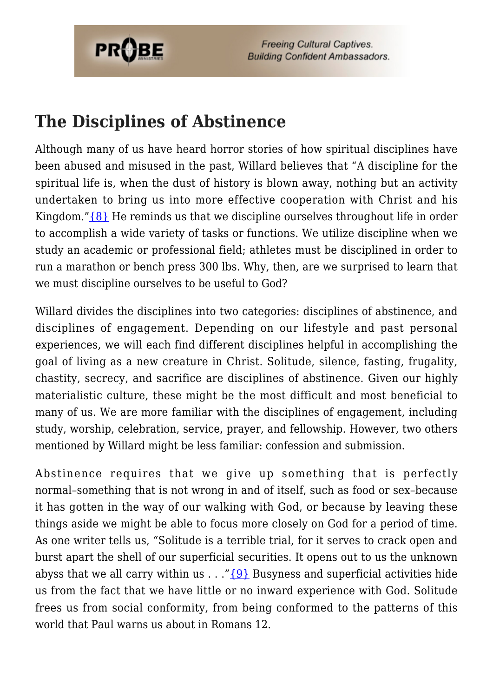

### **The Disciplines of Abstinence**

Although many of us have heard horror stories of how spiritual disciplines have been abused and misused in the past, Willard believes that "A discipline for the spiritual life is, when the dust of history is blown away, nothing but an activity undertaken to bring us into more effective cooperation with Christ and his Kingdom." ${8}$  He reminds us that we discipline ourselves throughout life in order to accomplish a wide variety of tasks or functions. We utilize discipline when we study an academic or professional field; athletes must be disciplined in order to run a marathon or bench press 300 lbs. Why, then, are we surprised to learn that we must discipline ourselves to be useful to God?

Willard divides the disciplines into two categories: disciplines of abstinence, and disciplines of engagement. Depending on our lifestyle and past personal experiences, we will each find different disciplines helpful in accomplishing the goal of living as a new creature in Christ. Solitude, silence, fasting, frugality, chastity, secrecy, and sacrifice are disciplines of abstinence. Given our highly materialistic culture, these might be the most difficult and most beneficial to many of us. We are more familiar with the disciplines of engagement, including study, worship, celebration, service, prayer, and fellowship. However, two others mentioned by Willard might be less familiar: confession and submission.

Abstinence requires that we give up something that is perfectly normal–something that is not wrong in and of itself, such as food or sex–because it has gotten in the way of our walking with God, or because by leaving these things aside we might be able to focus more closely on God for a period of time. As one writer tells us, "Solitude is a terrible trial, for it serves to crack open and burst apart the shell of our superficial securities. It opens out to us the unknown abyss that we all carry within us  $\ldots$  "[{9}](#page-22-7) Busyness and superficial activities hide us from the fact that we have little or no inward experience with God. Solitude frees us from social conformity, from being conformed to the patterns of this world that Paul warns us about in Romans 12.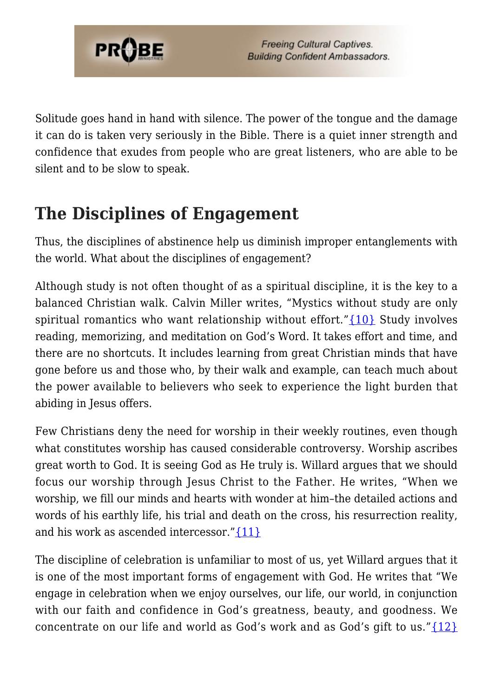

Solitude goes hand in hand with silence. The power of the tongue and the damage it can do is taken very seriously in the Bible. There is a quiet inner strength and confidence that exudes from people who are great listeners, who are able to be silent and to be slow to speak.

## **The Disciplines of Engagement**

Thus, the disciplines of abstinence help us diminish improper entanglements with the world. What about the disciplines of engagement?

Although study is not often thought of as a spiritual discipline, it is the key to a balanced Christian walk. Calvin Miller writes, "Mystics without study are only spiritual romantics who want relationship without effort.["{10}](#page-22-8) Study involves reading, memorizing, and meditation on God's Word. It takes effort and time, and there are no shortcuts. It includes learning from great Christian minds that have gone before us and those who, by their walk and example, can teach much about the power available to believers who seek to experience the light burden that abiding in Jesus offers.

Few Christians deny the need for worship in their weekly routines, even though what constitutes worship has caused considerable controversy. Worship ascribes great worth to God. It is seeing God as He truly is. Willard argues that we should focus our worship through Jesus Christ to the Father. He writes, "When we worship, we fill our minds and hearts with wonder at him–the detailed actions and words of his earthly life, his trial and death on the cross, his resurrection reality, and his work as ascended intercessor." $\{11\}$ 

The discipline of celebration is unfamiliar to most of us, yet Willard argues that it is one of the most important forms of engagement with God. He writes that "We engage in celebration when we enjoy ourselves, our life, our world, in conjunction with our faith and confidence in God's greatness, beauty, and goodness. We concentrate on our life and world as God's work and as God's gift to us." ${12}$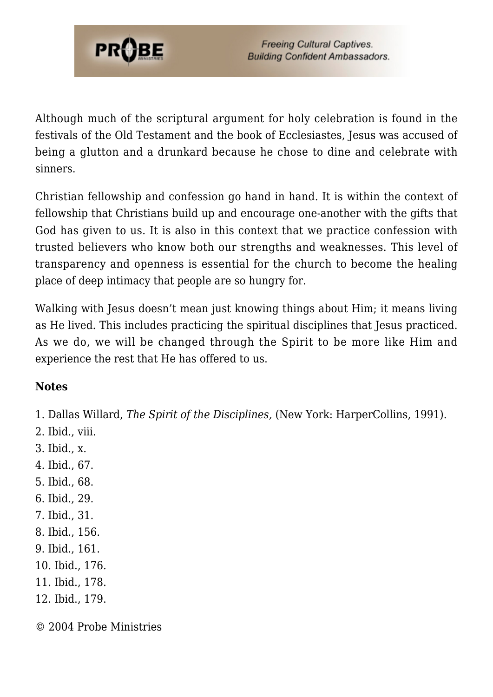

Although much of the scriptural argument for holy celebration is found in the festivals of the Old Testament and the book of Ecclesiastes, Jesus was accused of being a glutton and a drunkard because he chose to dine and celebrate with sinners.

Christian fellowship and confession go hand in hand. It is within the context of fellowship that Christians build up and encourage one-another with the gifts that God has given to us. It is also in this context that we practice confession with trusted believers who know both our strengths and weaknesses. This level of transparency and openness is essential for the church to become the healing place of deep intimacy that people are so hungry for.

Walking with Jesus doesn't mean just knowing things about Him; it means living as He lived. This includes practicing the spiritual disciplines that Jesus practiced. As we do, we will be changed through the Spirit to be more like Him and experience the rest that He has offered to us.

### **Notes**

1. Dallas Willard, *The Spirit of the Disciplines,* (New York: HarperCollins, 1991).

- 2. Ibid., viii.
- 3. Ibid., x.
- 4. Ibid., 67.
- 5. Ibid., 68.
- 6. Ibid., 29.
- 7. Ibid., 31.
- 8. Ibid., 156.
- 9. Ibid., 161.
- 10. Ibid., 176.
- 11. Ibid., 178.
- 12. Ibid., 179.

© 2004 Probe Ministries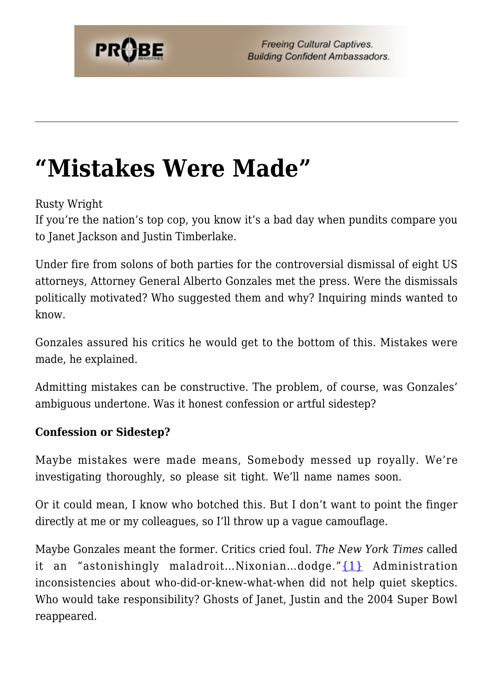## **["Mistakes Were Made"](https://probe.org/mistakes-were-made/)**

Rusty Wright

If you're the nation's top cop, you know it's a bad day when pundits compare you to Janet Jackson and Justin Timberlake.

Under fire from solons of both parties for the controversial dismissal of eight US attorneys, Attorney General Alberto Gonzales met the press. Were the dismissals politically motivated? Who suggested them and why? Inquiring minds wanted to know.

Gonzales assured his critics he would get to the bottom of this. Mistakes were made, he explained.

Admitting mistakes can be constructive. The problem, of course, was Gonzales' ambiguous undertone. Was it honest confession or artful sidestep?

#### **Confession or Sidestep?**

Maybe mistakes were made means, Somebody messed up royally. We're investigating thoroughly, so please sit tight. We'll name names soon.

Or it could mean, I know who botched this. But I don't want to point the finger directly at me or my colleagues, so I'll throw up a vague camouflage.

Maybe Gonzales meant the former. Critics cried foul. *The New York Times* called it an "astonishingly maladroit...Nixonian...dodge."[{1}](#page-21-0) Administration inconsistencies about who-did-or-knew-what-when did not help quiet skeptics. Who would take responsibility? Ghosts of Janet, Justin and the 2004 Super Bowl reappeared.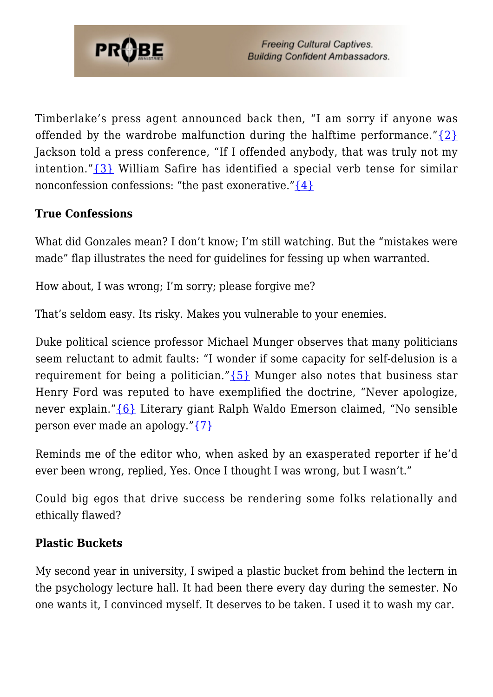

Timberlake's press agent announced back then, "I am sorry if anyone was offended by the wardrobe malfunction during the halftime performance." $\{2\}$ Jackson told a press conference, "If I offended anybody, that was truly not my intention." $\{3\}$  William Safire has identified a special verb tense for similar nonconfession confessions: "the past exonerative." $\{4\}$ 

### **True Confessions**

What did Gonzales mean? I don't know; I'm still watching. But the "mistakes were made" flap illustrates the need for guidelines for fessing up when warranted.

How about, I was wrong; I'm sorry; please forgive me?

That's seldom easy. Its risky. Makes you vulnerable to your enemies.

Duke political science professor Michael Munger observes that many politicians seem reluctant to admit faults: "I wonder if some capacity for self-delusion is a requirement for being a politician." $\{5\}$  Munger also notes that business star Henry Ford was reputed to have exemplified the doctrine, "Never apologize, never explain.["{6}](#page-22-4) Literary giant Ralph Waldo Emerson claimed, "No sensible person ever made an apology.["{7}](#page-22-5)

Reminds me of the editor who, when asked by an exasperated reporter if he'd ever been wrong, replied, Yes. Once I thought I was wrong, but I wasn't."

Could big egos that drive success be rendering some folks relationally and ethically flawed?

#### **Plastic Buckets**

My second year in university, I swiped a plastic bucket from behind the lectern in the psychology lecture hall. It had been there every day during the semester. No one wants it, I convinced myself. It deserves to be taken. I used it to wash my car.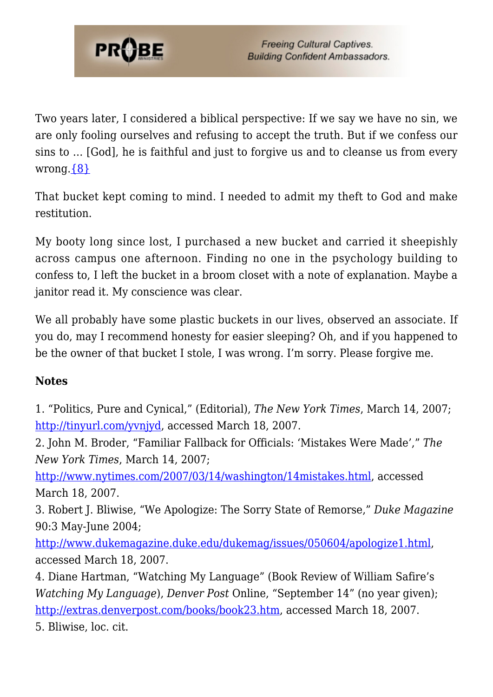

Two years later, I considered a biblical perspective: If we say we have no sin, we are only fooling ourselves and refusing to accept the truth. But if we confess our sins to … [God], he is faithful and just to forgive us and to cleanse us from every wrong. $\{8\}$ 

That bucket kept coming to mind. I needed to admit my theft to God and make restitution.

My booty long since lost, I purchased a new bucket and carried it sheepishly across campus one afternoon. Finding no one in the psychology building to confess to, I left the bucket in a broom closet with a note of explanation. Maybe a janitor read it. My conscience was clear.

We all probably have some plastic buckets in our lives, observed an associate. If you do, may I recommend honesty for easier sleeping? Oh, and if you happened to be the owner of that bucket I stole, I was wrong. I'm sorry. Please forgive me.

### **Notes**

1. "Politics, Pure and Cynical," (Editorial), *The New York Times*, March 14, 2007; [http://tinyurl.com/yvnjyd,](http://www.nytimes.com/2007/03/14/opinion/14wed1.html?em&ex=1174017600&en=571873033e465196&ei=5087%0A) accessed March 18, 2007.

2. John M. Broder, "Familiar Fallback for Officials: 'Mistakes Were Made'," *The New York Times*, March 14, 2007;

<http://www.nytimes.com/2007/03/14/washington/14mistakes.html>, accessed March 18, 2007.

3. Robert J. Bliwise, "We Apologize: The Sorry State of Remorse," *Duke Magazine* 90:3 May-June 2004;

<http://www.dukemagazine.duke.edu/dukemag/issues/050604/apologize1.html>, accessed March 18, 2007.

4. Diane Hartman, "Watching My Language" (Book Review of William Safire's *Watching My Language*), *Denver Post* Online, "September 14" (no year given); [http://extras.denverpost.com/books/book23.htm,](http://extras.denverpost.com/books/book23.htm) accessed March 18, 2007.

5. Bliwise, loc. cit.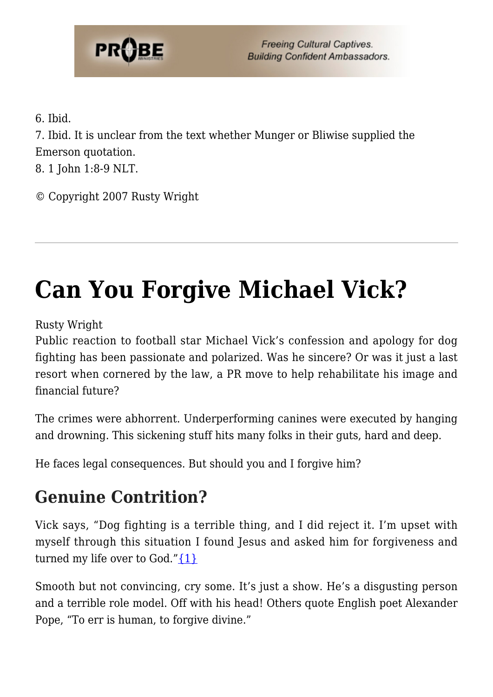

6. Ibid.

7. Ibid. It is unclear from the text whether Munger or Bliwise supplied the Emerson quotation.

8. 1 John 1:8-9 NLT.

© Copyright 2007 Rusty Wright

# **[Can You Forgive Michael Vick?](https://probe.org/can-you-forgive-michael-vick/)**

Rusty Wright

Public reaction to football star Michael Vick's confession and apology for dog fighting has been passionate and polarized. Was he sincere? Or was it just a last resort when cornered by the law, a PR move to help rehabilitate his image and financial future?

The crimes were abhorrent. Underperforming canines were executed by hanging and drowning. This sickening stuff hits many folks in their guts, hard and deep.

He faces legal consequences. But should you and I forgive him?

## **Genuine Contrition?**

Vick says, "Dog fighting is a terrible thing, and I did reject it. I'm upset with myself through this situation I found Jesus and asked him for forgiveness and turned my life over to God." $\{1\}$ 

Smooth but not convincing, cry some. It's just a show. He's a disgusting person and a terrible role model. Off with his head! Others quote English poet Alexander Pope, "To err is human, to forgive divine."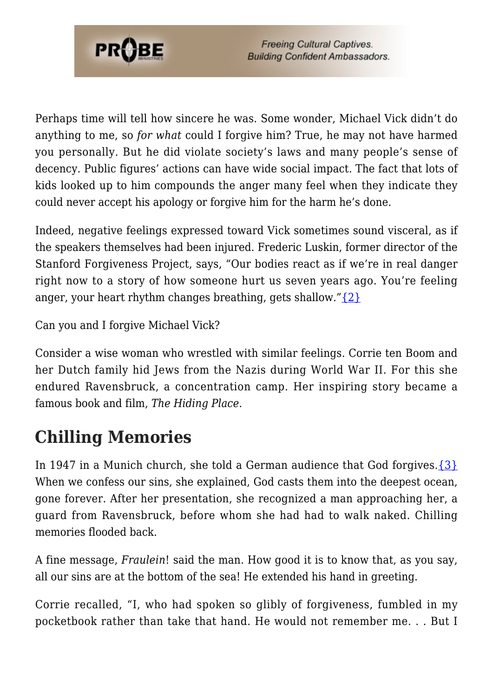

Perhaps time will tell how sincere he was. Some wonder, Michael Vick didn't do anything to me, so *for what* could I forgive him? True, he may not have harmed you personally. But he did violate society's laws and many people's sense of decency. Public figures' actions can have wide social impact. The fact that lots of kids looked up to him compounds the anger many feel when they indicate they could never accept his apology or forgive him for the harm he's done.

Indeed, negative feelings expressed toward Vick sometimes sound visceral, as if the speakers themselves had been injured. Frederic Luskin, former director of the Stanford Forgiveness Project, says, "Our bodies react as if we're in real danger right now to a story of how someone hurt us seven years ago. You're feeling anger, your heart rhythm changes breathing, gets shallow." $\{2\}$ 

Can you and I forgive Michael Vick?

Consider a wise woman who wrestled with similar feelings. Corrie ten Boom and her Dutch family hid Jews from the Nazis during World War II. For this she endured Ravensbruck, a concentration camp. Her inspiring story became a famous book and film, *The Hiding Place*.

## **Chilling Memories**

In 1947 in a Munich church, she told a German audience that God forgives.[{3}](#page-22-1) When we confess our sins, she explained, God casts them into the deepest ocean, gone forever. After her presentation, she recognized a man approaching her, a guard from Ravensbruck, before whom she had had to walk naked. Chilling memories flooded back.

A fine message, *Fraulein*! said the man. How good it is to know that, as you say, all our sins are at the bottom of the sea! He extended his hand in greeting.

Corrie recalled, "I, who had spoken so glibly of forgiveness, fumbled in my pocketbook rather than take that hand. He would not remember me. . . But I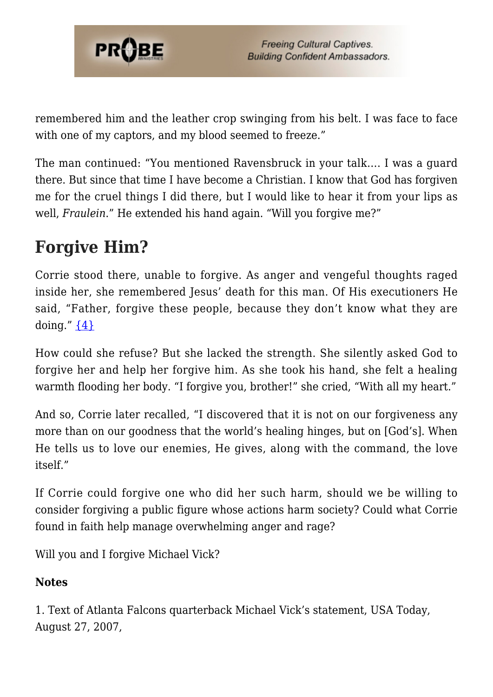

remembered him and the leather crop swinging from his belt. I was face to face with one of my captors, and my blood seemed to freeze."

The man continued: "You mentioned Ravensbruck in your talk…. I was a guard there. But since that time I have become a Christian. I know that God has forgiven me for the cruel things I did there, but I would like to hear it from your lips as well, *Fraulein*." He extended his hand again. "Will you forgive me?"

## **Forgive Him?**

Corrie stood there, unable to forgive. As anger and vengeful thoughts raged inside her, she remembered Jesus' death for this man. Of His executioners He said, "Father, forgive these people, because they don't know what they are doing." [{4}](#page-21-0)

How could she refuse? But she lacked the strength. She silently asked God to forgive her and help her forgive him. As she took his hand, she felt a healing warmth flooding her body. "I forgive you, brother!" she cried, "With all my heart."

And so, Corrie later recalled, "I discovered that it is not on our forgiveness any more than on our goodness that the world's healing hinges, but on [God's]. When He tells us to love our enemies, He gives, along with the command, the love itself."

If Corrie could forgive one who did her such harm, should we be willing to consider forgiving a public figure whose actions harm society? Could what Corrie found in faith help manage overwhelming anger and rage?

Will you and I forgive Michael Vick?

### **Notes**

1. Text of Atlanta Falcons quarterback Michael Vick's statement, USA Today, August 27, 2007,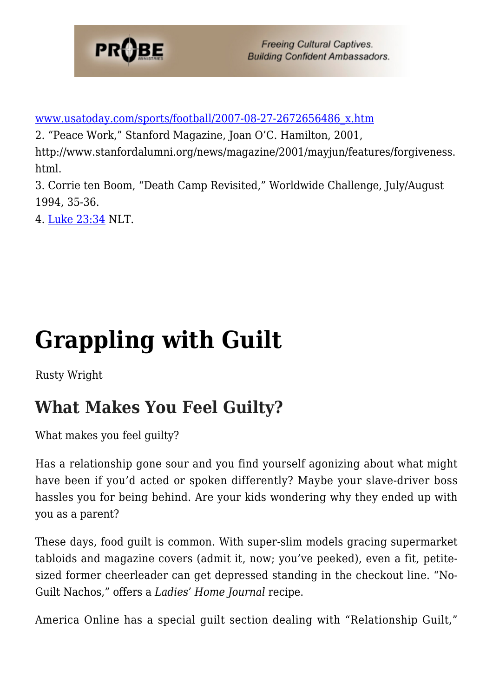

[www.usatoday.com/sports/football/2007-08-27-2672656486\\_x.htm](http://www.usatoday.com/sports/football/2007-08-27-2672656486_x.htm)

2. "Peace Work," Stanford Magazine, Joan O'C. Hamilton, 2001,

http://www.stanfordalumni.org/news/magazine/2001/mayjun/features/forgiveness. html.

3. Corrie ten Boom, "Death Camp Revisited," Worldwide Challenge, July/August 1994, 35-36.

4. [Luke 23:34](http://www.biblegateway.com/passage/?search=Luke%2023:34&version=51) NLT.

# **[Grappling with Guilt](https://probe.org/grappling-with-guilt/)**

Rusty Wright

## **What Makes You Feel Guilty?**

What makes you feel guilty?

Has a relationship gone sour and you find yourself agonizing about what might have been if you'd acted or spoken differently? Maybe your slave-driver boss hassles you for being behind. Are your kids wondering why they ended up with you as a parent?

These days, food guilt is common. With super-slim models gracing supermarket tabloids and magazine covers (admit it, now; you've peeked), even a fit, petitesized former cheerleader can get depressed standing in the checkout line. "No-Guilt Nachos," offers a *Ladies' Home Journal* recipe.

America Online has a special guilt section dealing with "Relationship Guilt,"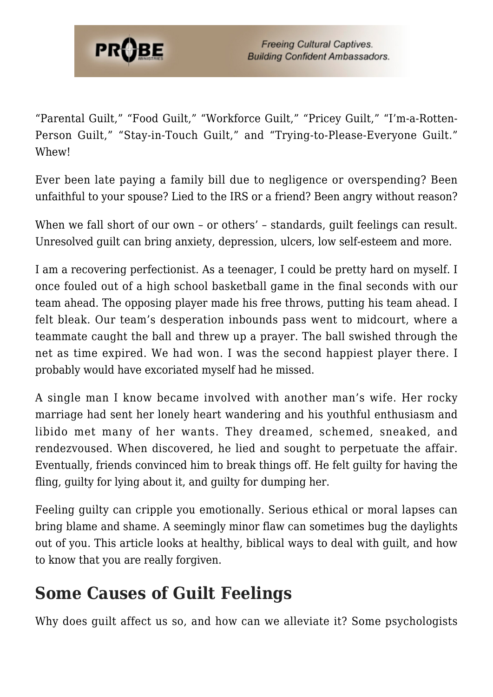

"Parental Guilt," "Food Guilt," "Workforce Guilt," "Pricey Guilt," "I'm-a-Rotten-Person Guilt," "Stay-in-Touch Guilt," and "Trying-to-Please-Everyone Guilt." Whew!

Ever been late paying a family bill due to negligence or overspending? Been unfaithful to your spouse? Lied to the IRS or a friend? Been angry without reason?

When we fall short of our own – or others' – standards, quilt feelings can result. Unresolved guilt can bring anxiety, depression, ulcers, low self-esteem and more.

I am a recovering perfectionist. As a teenager, I could be pretty hard on myself. I once fouled out of a high school basketball game in the final seconds with our team ahead. The opposing player made his free throws, putting his team ahead. I felt bleak. Our team's desperation inbounds pass went to midcourt, where a teammate caught the ball and threw up a prayer. The ball swished through the net as time expired. We had won. I was the second happiest player there. I probably would have excoriated myself had he missed.

A single man I know became involved with another man's wife. Her rocky marriage had sent her lonely heart wandering and his youthful enthusiasm and libido met many of her wants. They dreamed, schemed, sneaked, and rendezvoused. When discovered, he lied and sought to perpetuate the affair. Eventually, friends convinced him to break things off. He felt guilty for having the fling, guilty for lying about it, and guilty for dumping her.

Feeling guilty can cripple you emotionally. Serious ethical or moral lapses can bring blame and shame. A seemingly minor flaw can sometimes bug the daylights out of you. This article looks at healthy, biblical ways to deal with guilt, and how to know that you are really forgiven.

## **Some Causes of Guilt Feelings**

Why does guilt affect us so, and how can we alleviate it? Some psychologists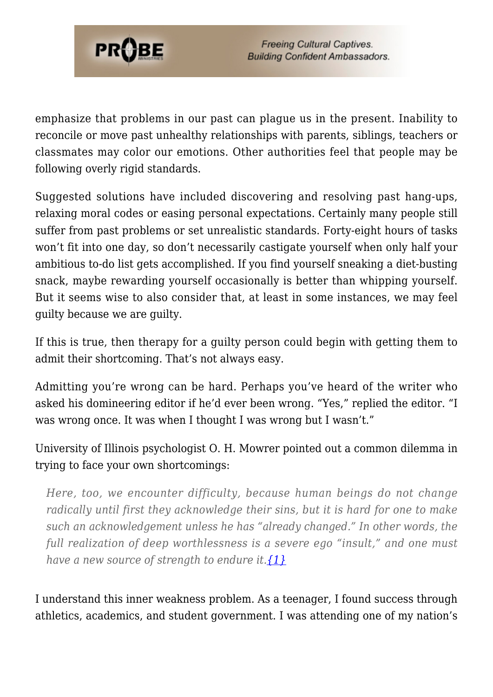

emphasize that problems in our past can plague us in the present. Inability to reconcile or move past unhealthy relationships with parents, siblings, teachers or classmates may color our emotions. Other authorities feel that people may be following overly rigid standards.

Suggested solutions have included discovering and resolving past hang-ups, relaxing moral codes or easing personal expectations. Certainly many people still suffer from past problems or set unrealistic standards. Forty-eight hours of tasks won't fit into one day, so don't necessarily castigate yourself when only half your ambitious to-do list gets accomplished. If you find yourself sneaking a diet-busting snack, maybe rewarding yourself occasionally is better than whipping yourself. But it seems wise to also consider that, at least in some instances, we may feel guilty because we are guilty.

If this is true, then therapy for a guilty person could begin with getting them to admit their shortcoming. That's not always easy.

Admitting you're wrong can be hard. Perhaps you've heard of the writer who asked his domineering editor if he'd ever been wrong. "Yes," replied the editor. "I was wrong once. It was when I thought I was wrong but I wasn't."

University of Illinois psychologist O. H. Mowrer pointed out a common dilemma in trying to face your own shortcomings:

*Here, too, we encounter difficulty, because human beings do not change radically until first they acknowledge their sins, but it is hard for one to make such an acknowledgement unless he has "already changed." In other words, the full realization of deep worthlessness is a severe ego "insult," and one must have a new source of strength to endure it[.{1}](#page-21-0)*

I understand this inner weakness problem. As a teenager, I found success through athletics, academics, and student government. I was attending one of my nation's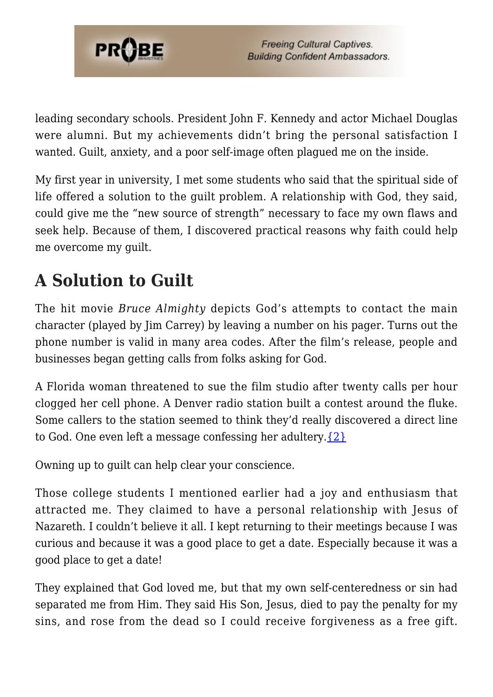

leading secondary schools. President John F. Kennedy and actor Michael Douglas were alumni. But my achievements didn't bring the personal satisfaction I wanted. Guilt, anxiety, and a poor self-image often plagued me on the inside.

My first year in university, I met some students who said that the spiritual side of life offered a solution to the guilt problem. A relationship with God, they said, could give me the "new source of strength" necessary to face my own flaws and seek help. Because of them, I discovered practical reasons why faith could help me overcome my guilt.

## **A Solution to Guilt**

The hit movie *Bruce Almighty* depicts God's attempts to contact the main character (played by Jim Carrey) by leaving a number on his pager. Turns out the phone number is valid in many area codes. After the film's release, people and businesses began getting calls from folks asking for God.

A Florida woman threatened to sue the film studio after twenty calls per hour clogged her cell phone. A Denver radio station built a contest around the fluke. Some callers to the station seemed to think they'd really discovered a direct line to God. One even left a message confessing her adultery. $\{2\}$ 

Owning up to guilt can help clear your conscience.

Those college students I mentioned earlier had a joy and enthusiasm that attracted me. They claimed to have a personal relationship with Jesus of Nazareth. I couldn't believe it all. I kept returning to their meetings because I was curious and because it was a good place to get a date. Especially because it was a good place to get a date!

They explained that God loved me, but that my own self-centeredness or sin had separated me from Him. They said His Son, Jesus, died to pay the penalty for my sins, and rose from the dead so I could receive forgiveness as a free gift.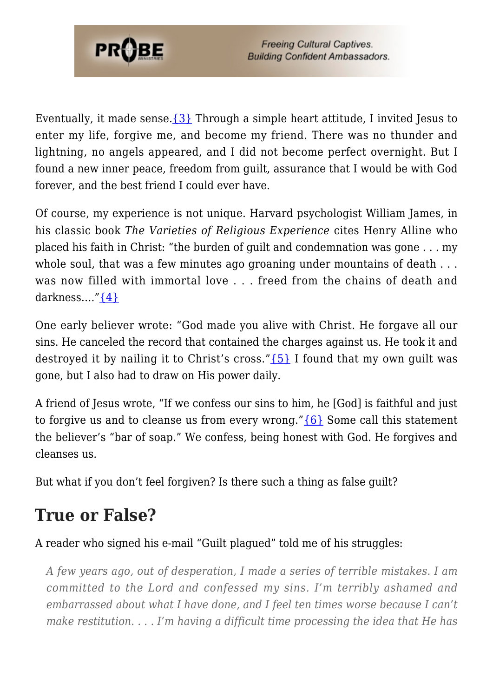

Eventually, it made sense.  $\{3\}$  Through a simple heart attitude, I invited Jesus to enter my life, forgive me, and become my friend. There was no thunder and lightning, no angels appeared, and I did not become perfect overnight. But I found a new inner peace, freedom from guilt, assurance that I would be with God forever, and the best friend I could ever have.

Of course, my experience is not unique. Harvard psychologist William James, in his classic book *The Varieties of Religious Experience* cites Henry Alline who placed his faith in Christ: "the burden of guilt and condemnation was gone . . . my whole soul, that was a few minutes ago groaning under mountains of death ... was now filled with immortal love . . . freed from the chains of death and darkness….["{4}](#page-22-2)

One early believer wrote: "God made you alive with Christ. He forgave all our sins. He canceled the record that contained the charges against us. He took it and destroyed it by nailing it to Christ's cross." $\{5\}$  I found that my own quilt was gone, but I also had to draw on His power daily.

A friend of Jesus wrote, "If we confess our sins to him, he [God] is faithful and just to forgive us and to cleanse us from every wrong." ${6}$  Some call this statement the believer's "bar of soap." We confess, being honest with God. He forgives and cleanses us.

But what if you don't feel forgiven? Is there such a thing as false guilt?

## **True or False?**

### A reader who signed his e-mail "Guilt plagued" told me of his struggles:

*A few years ago, out of desperation, I made a series of terrible mistakes. I am committed to the Lord and confessed my sins. I'm terribly ashamed and embarrassed about what I have done, and I feel ten times worse because I can't make restitution. . . . I'm having a difficult time processing the idea that He has*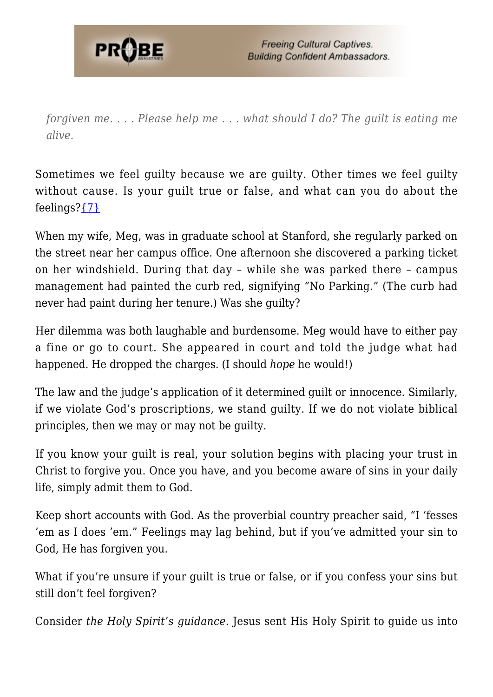

*forgiven me. . . . Please help me . . . what should I do? The guilt is eating me alive.*

Sometimes we feel guilty because we are guilty. Other times we feel guilty without cause. Is your guilt true or false, and what can you do about the feelings[?{7}](#page-22-5)

When my wife, Meg, was in graduate school at Stanford, she regularly parked on the street near her campus office. One afternoon she discovered a parking ticket on her windshield. During that day – while she was parked there – campus management had painted the curb red, signifying "No Parking." (The curb had never had paint during her tenure.) Was she guilty?

Her dilemma was both laughable and burdensome. Meg would have to either pay a fine or go to court. She appeared in court and told the judge what had happened. He dropped the charges. (I should *hope* he would!)

The law and the judge's application of it determined guilt or innocence. Similarly, if we violate God's proscriptions, we stand guilty. If we do not violate biblical principles, then we may or may not be guilty.

If you know your guilt is real, your solution begins with placing your trust in Christ to forgive you. Once you have, and you become aware of sins in your daily life, simply admit them to God.

Keep short accounts with God. As the proverbial country preacher said, "I 'fesses 'em as I does 'em." Feelings may lag behind, but if you've admitted your sin to God, He has forgiven you.

What if you're unsure if your guilt is true or false, or if you confess your sins but still don't feel forgiven?

Consider *the Holy Spirit's guidance.* Jesus sent His Holy Spirit to guide us into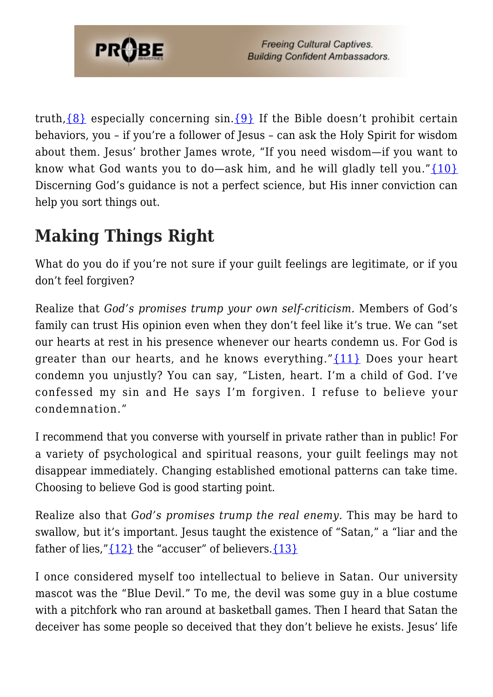

truth,  $\{8\}$  especially concerning sin.  $\{9\}$  If the Bible doesn't prohibit certain behaviors, you – if you're a follower of Jesus – can ask the Holy Spirit for wisdom about them. Jesus' brother James wrote, "If you need wisdom—if you want to know what God wants you to do—ask him, and he will gladly tell you." $\{10\}$ Discerning God's guidance is not a perfect science, but His inner conviction can help you sort things out.

## **Making Things Right**

What do you do if you're not sure if your guilt feelings are legitimate, or if you don't feel forgiven?

Realize that *God's promises trump your own self-criticism.* Members of God's family can trust His opinion even when they don't feel like it's true. We can "set our hearts at rest in his presence whenever our hearts condemn us. For God is greater than our hearts, and he knows everything."[{11}](#page-22-9) Does your heart condemn you unjustly? You can say, "Listen, heart. I'm a child of God. I've confessed my sin and He says I'm forgiven. I refuse to believe your condemnation."

I recommend that you converse with yourself in private rather than in public! For a variety of psychological and spiritual reasons, your guilt feelings may not disappear immediately. Changing established emotional patterns can take time. Choosing to believe God is good starting point.

Realize also that *God's promises trump the real enemy.* This may be hard to swallow, but it's important. Jesus taught the existence of "Satan," a "liar and the father of lies," ${12}$  the "accuser" of believers. ${13}$ 

I once considered myself too intellectual to believe in Satan. Our university mascot was the "Blue Devil." To me, the devil was some guy in a blue costume with a pitchfork who ran around at basketball games. Then I heard that Satan the deceiver has some people so deceived that they don't believe he exists. Jesus' life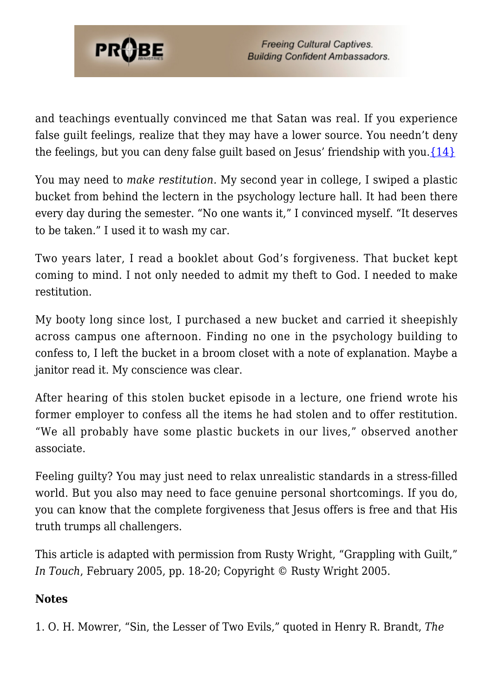

and teachings eventually convinced me that Satan was real. If you experience false guilt feelings, realize that they may have a lower source. You needn't deny the feelings, but you can deny false guilt based on Jesus' friendship with you. $\{14\}$ 

You may need to *make restitution.* My second year in college, I swiped a plastic bucket from behind the lectern in the psychology lecture hall. It had been there every day during the semester. "No one wants it," I convinced myself. "It deserves to be taken." I used it to wash my car.

Two years later, I read a booklet about God's forgiveness. That bucket kept coming to mind. I not only needed to admit my theft to God. I needed to make restitution.

My booty long since lost, I purchased a new bucket and carried it sheepishly across campus one afternoon. Finding no one in the psychology building to confess to, I left the bucket in a broom closet with a note of explanation. Maybe a janitor read it. My conscience was clear.

After hearing of this stolen bucket episode in a lecture, one friend wrote his former employer to confess all the items he had stolen and to offer restitution. "We all probably have some plastic buckets in our lives," observed another associate.

Feeling guilty? You may just need to relax unrealistic standards in a stress-filled world. But you also may need to face genuine personal shortcomings. If you do, you can know that the complete forgiveness that Jesus offers is free and that His truth trumps all challengers.

This article is adapted with permission from Rusty Wright, "Grappling with Guilt," *In Touch*, February 2005, pp. 18-20; Copyright © Rusty Wright 2005.

### **Notes**

<span id="page-21-0"></span>1. O. H. Mowrer, "Sin, the Lesser of Two Evils," quoted in Henry R. Brandt, *The*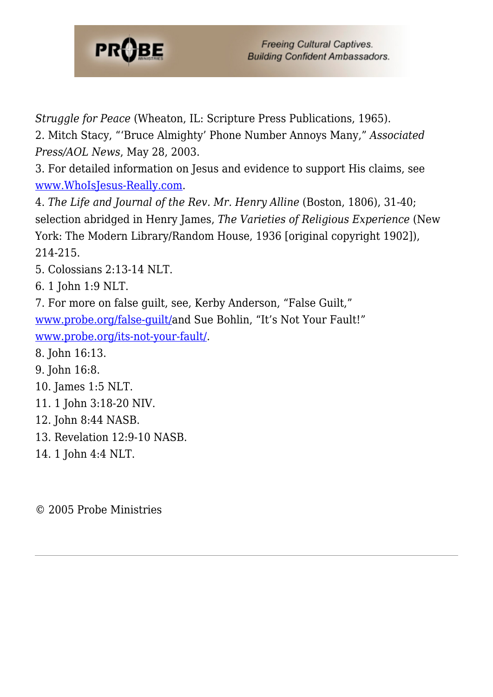

*Struggle for Peace* (Wheaton, IL: Scripture Press Publications, 1965).

<span id="page-22-0"></span>2. Mitch Stacy, "'Bruce Almighty' Phone Number Annoys Many," *Associated Press/AOL News*, May 28, 2003.

<span id="page-22-1"></span>3. For detailed information on Jesus and evidence to support His claims, see [www.WhoIsJesus-Really.com](http://www.whoisjesus-really.com).

<span id="page-22-2"></span>4. *The Life and Journal of the Rev. Mr. Henry Alline* (Boston, 1806), 31-40; selection abridged in Henry James, *The Varieties of Religious Experience* (New York: The Modern Library/Random House, 1936 [original copyright 1902]), 214-215.

<span id="page-22-3"></span>5. Colossians 2:13-14 NLT.

<span id="page-22-4"></span>6. 1 John 1:9 NLT.

<span id="page-22-5"></span>7. For more on false guilt, see, Kerby Anderson, "False Guilt," [www.probe.org/false-guilt/a](https://www.probe.org/false-guilt/)nd Sue Bohlin, "It's Not Your Fault!" [www.probe.org/its-not-your-fault/.](https://www.probe.org/its-not-your-fault/)

<span id="page-22-6"></span>8. John 16:13.

<span id="page-22-7"></span>9. John 16:8.

<span id="page-22-8"></span>10. James 1:5 NLT.

- <span id="page-22-9"></span>11. 1 John 3:18-20 NIV.
- <span id="page-22-10"></span>12. John 8:44 NASB.
- <span id="page-22-11"></span>13. Revelation 12:9-10 NASB.
- <span id="page-22-12"></span>14. 1 John 4:4 NLT.

© 2005 Probe Ministries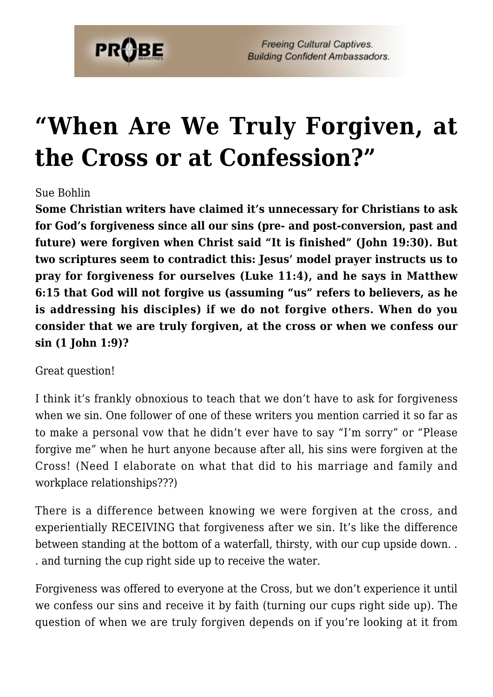

## **["When Are We Truly Forgiven, at](https://probe.org/when-are-we-truly-forgiven-at-the-cross-or-at-confession/) [the Cross or at Confession?"](https://probe.org/when-are-we-truly-forgiven-at-the-cross-or-at-confession/)**

#### Sue Bohlin

**Some Christian writers have claimed it's unnecessary for Christians to ask for God's forgiveness since all our sins (pre- and post-conversion, past and future) were forgiven when Christ said "It is finished" (John 19:30). But two scriptures seem to contradict this: Jesus' model prayer instructs us to pray for forgiveness for ourselves (Luke 11:4), and he says in Matthew 6:15 that God will not forgive us (assuming "us" refers to believers, as he is addressing his disciples) if we do not forgive others. When do you consider that we are truly forgiven, at the cross or when we confess our sin (1 John 1:9)?**

Great question!

I think it's frankly obnoxious to teach that we don't have to ask for forgiveness when we sin. One follower of one of these writers you mention carried it so far as to make a personal vow that he didn't ever have to say "I'm sorry" or "Please forgive me" when he hurt anyone because after all, his sins were forgiven at the Cross! (Need I elaborate on what that did to his marriage and family and workplace relationships???)

There is a difference between knowing we were forgiven at the cross, and experientially RECEIVING that forgiveness after we sin. It's like the difference between standing at the bottom of a waterfall, thirsty, with our cup upside down. . . and turning the cup right side up to receive the water.

Forgiveness was offered to everyone at the Cross, but we don't experience it until we confess our sins and receive it by faith (turning our cups right side up). The question of when we are truly forgiven depends on if you're looking at it from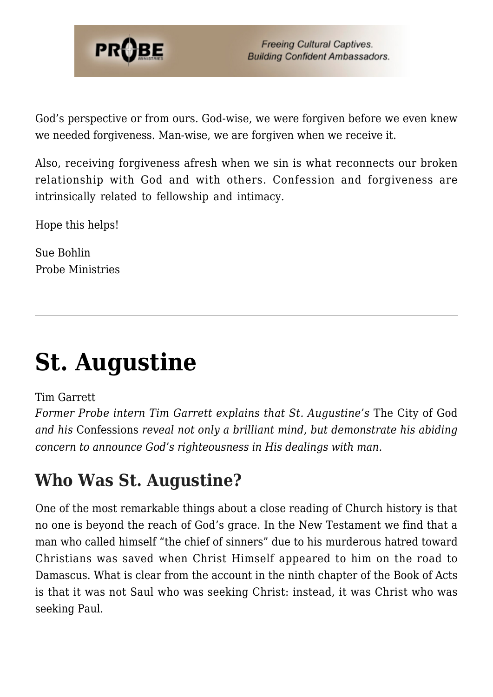

God's perspective or from ours. God-wise, we were forgiven before we even knew we needed forgiveness. Man-wise, we are forgiven when we receive it.

Also, receiving forgiveness afresh when we sin is what reconnects our broken relationship with God and with others. Confession and forgiveness are intrinsically related to fellowship and intimacy.

Hope this helps!

Sue Bohlin Probe Ministries

# **[St. Augustine](https://probe.org/st-augustine/)**

Tim Garrett

*Former Probe intern Tim Garrett explains that St. Augustine's* The City of God *and his* Confessions *reveal not only a brilliant mind, but demonstrate his abiding concern to announce God's righteousness in His dealings with man.*

## **Who Was St. Augustine?**

One of the most remarkable things about a close reading of Church history is that no one is beyond the reach of God's grace. In the New Testament we find that a man who called himself "the chief of sinners" due to his murderous hatred toward Christians was saved when Christ Himself appeared to him on the road to Damascus. What is clear from the account in the ninth chapter of the Book of Acts is that it was not Saul who was seeking Christ: instead, it was Christ who was seeking Paul.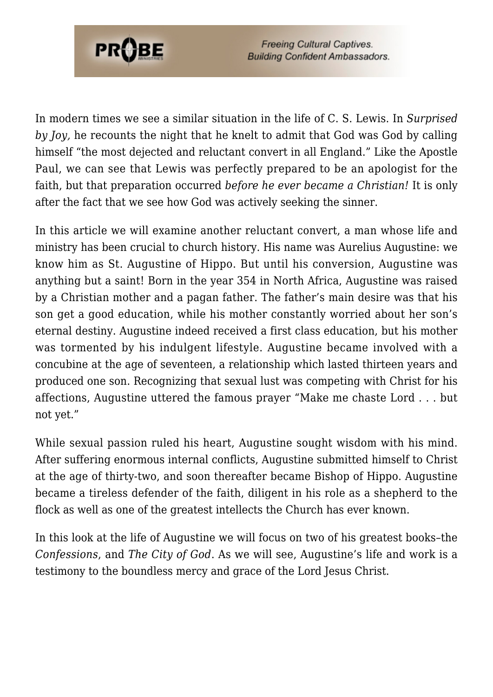

In modern times we see a similar situation in the life of C. S. Lewis. In *Surprised by Joy,* he recounts the night that he knelt to admit that God was God by calling himself "the most dejected and reluctant convert in all England." Like the Apostle Paul, we can see that Lewis was perfectly prepared to be an apologist for the faith, but that preparation occurred *before he ever became a Christian!* It is only after the fact that we see how God was actively seeking the sinner.

In this article we will examine another reluctant convert, a man whose life and ministry has been crucial to church history. His name was Aurelius Augustine: we know him as St. Augustine of Hippo. But until his conversion, Augustine was anything but a saint! Born in the year 354 in North Africa, Augustine was raised by a Christian mother and a pagan father. The father's main desire was that his son get a good education, while his mother constantly worried about her son's eternal destiny. Augustine indeed received a first class education, but his mother was tormented by his indulgent lifestyle. Augustine became involved with a concubine at the age of seventeen, a relationship which lasted thirteen years and produced one son. Recognizing that sexual lust was competing with Christ for his affections, Augustine uttered the famous prayer "Make me chaste Lord . . . but not yet."

While sexual passion ruled his heart, Augustine sought wisdom with his mind. After suffering enormous internal conflicts, Augustine submitted himself to Christ at the age of thirty-two, and soon thereafter became Bishop of Hippo. Augustine became a tireless defender of the faith, diligent in his role as a shepherd to the flock as well as one of the greatest intellects the Church has ever known.

In this look at the life of Augustine we will focus on two of his greatest books–the *Confessions*, and *The City of God*. As we will see, Augustine's life and work is a testimony to the boundless mercy and grace of the Lord Jesus Christ.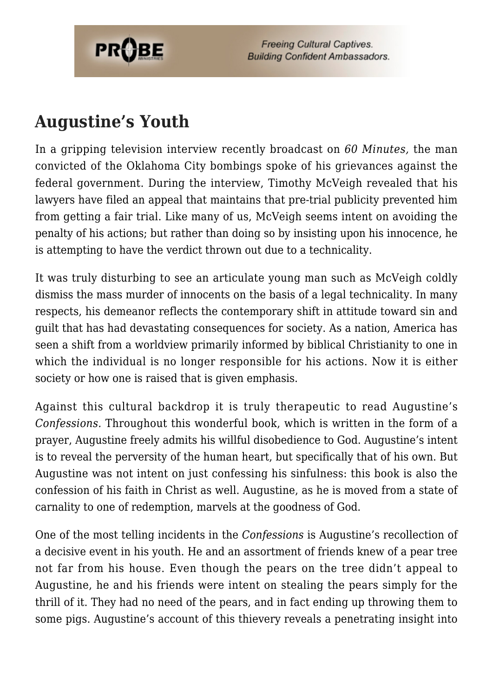

### **Augustine's Youth**

In a gripping television interview recently broadcast on *60 Minutes,* the man convicted of the Oklahoma City bombings spoke of his grievances against the federal government. During the interview, Timothy McVeigh revealed that his lawyers have filed an appeal that maintains that pre-trial publicity prevented him from getting a fair trial. Like many of us, McVeigh seems intent on avoiding the penalty of his actions; but rather than doing so by insisting upon his innocence, he is attempting to have the verdict thrown out due to a technicality.

It was truly disturbing to see an articulate young man such as McVeigh coldly dismiss the mass murder of innocents on the basis of a legal technicality. In many respects, his demeanor reflects the contemporary shift in attitude toward sin and guilt that has had devastating consequences for society. As a nation, America has seen a shift from a worldview primarily informed by biblical Christianity to one in which the individual is no longer responsible for his actions. Now it is either society or how one is raised that is given emphasis.

Against this cultural backdrop it is truly therapeutic to read Augustine's *Confessions.* Throughout this wonderful book, which is written in the form of a prayer, Augustine freely admits his willful disobedience to God. Augustine's intent is to reveal the perversity of the human heart, but specifically that of his own. But Augustine was not intent on just confessing his sinfulness: this book is also the confession of his faith in Christ as well. Augustine, as he is moved from a state of carnality to one of redemption, marvels at the goodness of God.

One of the most telling incidents in the *Confessions* is Augustine's recollection of a decisive event in his youth. He and an assortment of friends knew of a pear tree not far from his house. Even though the pears on the tree didn't appeal to Augustine, he and his friends were intent on stealing the pears simply for the thrill of it. They had no need of the pears, and in fact ending up throwing them to some pigs. Augustine's account of this thievery reveals a penetrating insight into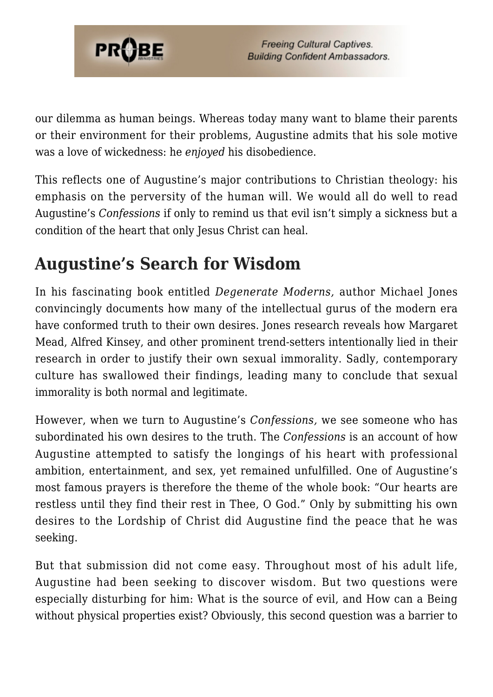

our dilemma as human beings. Whereas today many want to blame their parents or their environment for their problems, Augustine admits that his sole motive was a love of wickedness: he *enjoyed* his disobedience.

This reflects one of Augustine's major contributions to Christian theology: his emphasis on the perversity of the human will. We would all do well to read Augustine's *Confessions* if only to remind us that evil isn't simply a sickness but a condition of the heart that only Jesus Christ can heal.

## **Augustine's Search for Wisdom**

In his fascinating book entitled *Degenerate Moderns,* author Michael Jones convincingly documents how many of the intellectual gurus of the modern era have conformed truth to their own desires. Jones research reveals how Margaret Mead, Alfred Kinsey, and other prominent trend-setters intentionally lied in their research in order to justify their own sexual immorality. Sadly, contemporary culture has swallowed their findings, leading many to conclude that sexual immorality is both normal and legitimate.

However, when we turn to Augustine's *Confessions,* we see someone who has subordinated his own desires to the truth. The *Confessions* is an account of how Augustine attempted to satisfy the longings of his heart with professional ambition, entertainment, and sex, yet remained unfulfilled. One of Augustine's most famous prayers is therefore the theme of the whole book: "Our hearts are restless until they find their rest in Thee, O God." Only by submitting his own desires to the Lordship of Christ did Augustine find the peace that he was seeking.

But that submission did not come easy. Throughout most of his adult life, Augustine had been seeking to discover wisdom. But two questions were especially disturbing for him: What is the source of evil, and How can a Being without physical properties exist? Obviously, this second question was a barrier to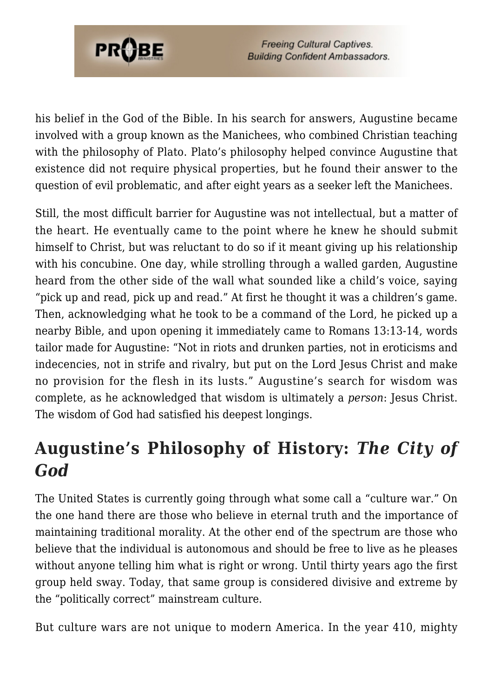

his belief in the God of the Bible. In his search for answers, Augustine became involved with a group known as the Manichees, who combined Christian teaching with the philosophy of Plato. Plato's philosophy helped convince Augustine that existence did not require physical properties, but he found their answer to the question of evil problematic, and after eight years as a seeker left the Manichees.

Still, the most difficult barrier for Augustine was not intellectual, but a matter of the heart. He eventually came to the point where he knew he should submit himself to Christ, but was reluctant to do so if it meant giving up his relationship with his concubine. One day, while strolling through a walled garden, Augustine heard from the other side of the wall what sounded like a child's voice, saying "pick up and read, pick up and read." At first he thought it was a children's game. Then, acknowledging what he took to be a command of the Lord, he picked up a nearby Bible, and upon opening it immediately came to Romans 13:13-14, words tailor made for Augustine: "Not in riots and drunken parties, not in eroticisms and indecencies, not in strife and rivalry, but put on the Lord Jesus Christ and make no provision for the flesh in its lusts." Augustine's search for wisdom was complete, as he acknowledged that wisdom is ultimately a *person*: Jesus Christ. The wisdom of God had satisfied his deepest longings.

## **Augustine's Philosophy of History:** *The City of God*

The United States is currently going through what some call a "culture war." On the one hand there are those who believe in eternal truth and the importance of maintaining traditional morality. At the other end of the spectrum are those who believe that the individual is autonomous and should be free to live as he pleases without anyone telling him what is right or wrong. Until thirty years ago the first group held sway. Today, that same group is considered divisive and extreme by the "politically correct" mainstream culture.

But culture wars are not unique to modern America. In the year 410, mighty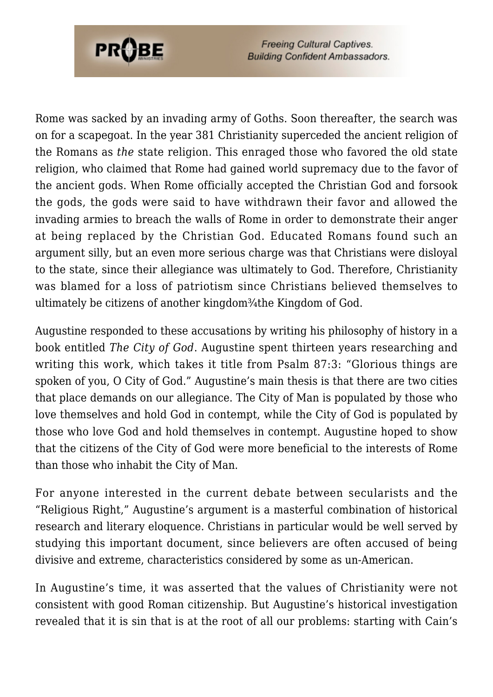

Rome was sacked by an invading army of Goths. Soon thereafter, the search was on for a scapegoat. In the year 381 Christianity superceded the ancient religion of the Romans as *the* state religion. This enraged those who favored the old state religion, who claimed that Rome had gained world supremacy due to the favor of the ancient gods. When Rome officially accepted the Christian God and forsook the gods, the gods were said to have withdrawn their favor and allowed the invading armies to breach the walls of Rome in order to demonstrate their anger at being replaced by the Christian God. Educated Romans found such an argument silly, but an even more serious charge was that Christians were disloyal to the state, since their allegiance was ultimately to God. Therefore, Christianity was blamed for a loss of patriotism since Christians believed themselves to ultimately be citizens of another kingdom<sup>3</sup>/<sub>4</sub>the Kingdom of God.

Augustine responded to these accusations by writing his philosophy of history in a book entitled *The City of God*. Augustine spent thirteen years researching and writing this work, which takes it title from Psalm 87:3: "Glorious things are spoken of you, O City of God." Augustine's main thesis is that there are two cities that place demands on our allegiance. The City of Man is populated by those who love themselves and hold God in contempt, while the City of God is populated by those who love God and hold themselves in contempt. Augustine hoped to show that the citizens of the City of God were more beneficial to the interests of Rome than those who inhabit the City of Man.

For anyone interested in the current debate between secularists and the "Religious Right," Augustine's argument is a masterful combination of historical research and literary eloquence. Christians in particular would be well served by studying this important document, since believers are often accused of being divisive and extreme, characteristics considered by some as un-American.

In Augustine's time, it was asserted that the values of Christianity were not consistent with good Roman citizenship. But Augustine's historical investigation revealed that it is sin that is at the root of all our problems: starting with Cain's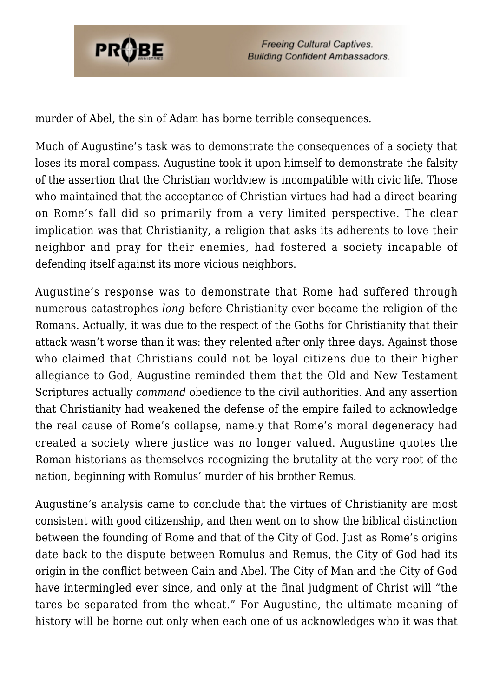

murder of Abel, the sin of Adam has borne terrible consequences.

Much of Augustine's task was to demonstrate the consequences of a society that loses its moral compass. Augustine took it upon himself to demonstrate the falsity of the assertion that the Christian worldview is incompatible with civic life. Those who maintained that the acceptance of Christian virtues had had a direct bearing on Rome's fall did so primarily from a very limited perspective. The clear implication was that Christianity, a religion that asks its adherents to love their neighbor and pray for their enemies, had fostered a society incapable of defending itself against its more vicious neighbors.

Augustine's response was to demonstrate that Rome had suffered through numerous catastrophes *long* before Christianity ever became the religion of the Romans. Actually, it was due to the respect of the Goths for Christianity that their attack wasn't worse than it was: they relented after only three days. Against those who claimed that Christians could not be loyal citizens due to their higher allegiance to God, Augustine reminded them that the Old and New Testament Scriptures actually *command* obedience to the civil authorities. And any assertion that Christianity had weakened the defense of the empire failed to acknowledge the real cause of Rome's collapse, namely that Rome's moral degeneracy had created a society where justice was no longer valued. Augustine quotes the Roman historians as themselves recognizing the brutality at the very root of the nation, beginning with Romulus' murder of his brother Remus.

Augustine's analysis came to conclude that the virtues of Christianity are most consistent with good citizenship, and then went on to show the biblical distinction between the founding of Rome and that of the City of God. Just as Rome's origins date back to the dispute between Romulus and Remus, the City of God had its origin in the conflict between Cain and Abel. The City of Man and the City of God have intermingled ever since, and only at the final judgment of Christ will "the tares be separated from the wheat." For Augustine, the ultimate meaning of history will be borne out only when each one of us acknowledges who it was that